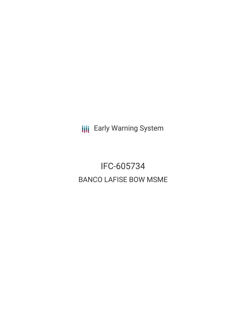**III** Early Warning System

# IFC-605734 BANCO LAFISE BOW MSME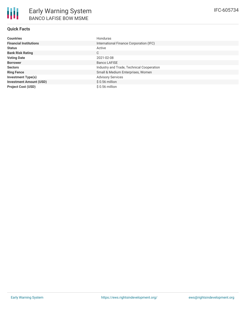

## **Quick Facts**

| <b>Countries</b>               | Honduras                                  |
|--------------------------------|-------------------------------------------|
| <b>Financial Institutions</b>  | International Finance Corporation (IFC)   |
| <b>Status</b>                  | Active                                    |
| <b>Bank Risk Rating</b>        | С                                         |
| <b>Voting Date</b>             | 2021-02-08                                |
| <b>Borrower</b>                | <b>Banco LAFISE</b>                       |
| <b>Sectors</b>                 | Industry and Trade, Technical Cooperation |
| <b>Ring Fence</b>              | Small & Medium Enterprises, Women         |
| <b>Investment Type(s)</b>      | <b>Advisory Services</b>                  |
| <b>Investment Amount (USD)</b> | $$0.56$ million                           |
| <b>Project Cost (USD)</b>      | $$0.56$ million                           |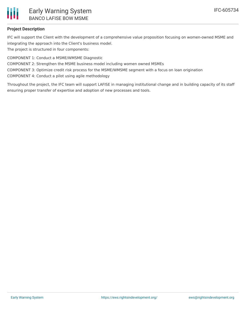

## **Project Description**

IFC will support the Client with the development of a comprehensive value proposition focusing on women-owned MSME and integrating the approach into the Client's business model.

The project is structured in four components:

COMPONENT 1: Conduct a MSME/WMSME Diagnostic

COMPONENT 2: Strengthen the MSME business model including women owned MSMEs

COMPONENT 3: Optimize credit risk process for the MSME/WMSME segment with a focus on loan origination

COMPONENT 4: Conduct a pilot using agile methodology

Throughout the project, the IFC team will support LAFISE in managing institutional change and in building capacity of its staff ensuring proper transfer of expertise and adoption of new processes and tools.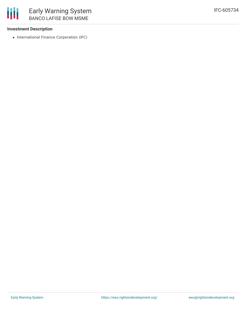### **Investment Description**

• International Finance Corporation (IFC)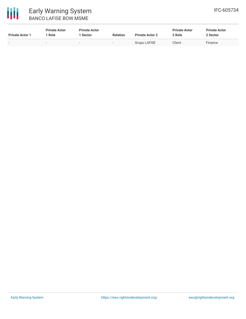

# Early Warning System BANCO LAFISE BOW MSME

| <b>Private Actor 1</b> | <b>Private Actor</b><br>' Role | <b>Private Actor</b><br>1 Sector | <b>Relation</b> | <b>Private Actor 2</b> | <b>Private Actor</b><br>2 Role | <b>Private Actor</b><br>2 Sector |  |
|------------------------|--------------------------------|----------------------------------|-----------------|------------------------|--------------------------------|----------------------------------|--|
|                        | $\overline{\phantom{0}}$       | $\overline{\phantom{a}}$         |                 | <b>Grupo LAFISE</b>    | Client                         | Finance                          |  |